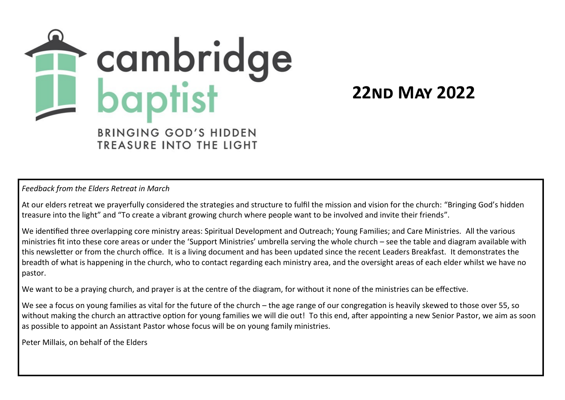

**22nd May 2022**

TREASURE INTO THE LIGHT

*Feedback from the Elders Retreat in March*

At our elders retreat we prayerfully considered the strategies and structure to fulfil the mission and vision for the church: "Bringing God's hidden treasure into the light" and "To create a vibrant growing church where people want to be involved and invite their friends".

We identified three overlapping core ministry areas: Spiritual Development and Outreach; Young Families; and Care Ministries. All the various ministries fit into these core areas or under the 'Support Ministries' umbrella serving the whole church – see the table and diagram available with this newsletter or from the church office. It is a living document and has been updated since the recent Leaders Breakfast. It demonstrates the breadth of what is happening in the church, who to contact regarding each ministry area, and the oversight areas of each elder whilst we have no pastor.

We want to be a praying church, and prayer is at the centre of the diagram, for without it none of the ministries can be effective.

We see a focus on young families as vital for the future of the church – the age range of our congregation is heavily skewed to those over 55, so without making the church an attractive option for young families we will die out! To this end, after appointing a new Senior Pastor, we aim as soon as possible to appoint an Assistant Pastor whose focus will be on young family ministries.

Peter Millais, on behalf of the Elders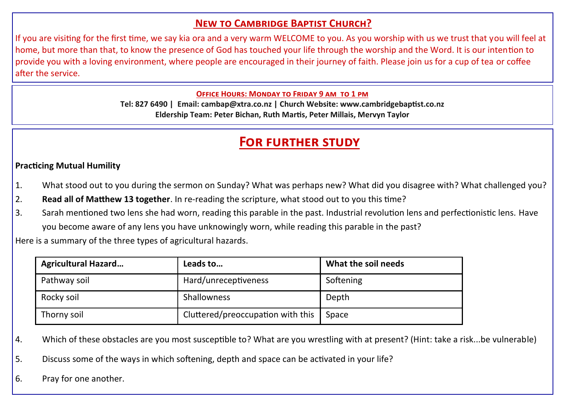### **New to Cambridge Baptist Church?**

If you are visiting for the first time, we say kia ora and a very warm WELCOME to you. As you worship with us we trust that you will feel at home, but more than that, to know the presence of God has touched your life through the worship and the Word. It is our intention to provide you with a loving environment, where people are encouraged in their journey of faith. Please join us for a cup of tea or coffee after the service.

#### **Office Hours: Monday to Friday 9 am to 1 pm**

**Tel: 827 6490 | Email: cambap@xtra.co.nz | Church Website: www.cambridgebaptist.co.nz Eldership Team: Peter Bichan, Ruth Martis, Peter Millais, Mervyn Taylor**

## **For further study**

#### **Practicing Mutual Humility**

- 1. What stood out to you during the sermon on Sunday? What was perhaps new? What did you disagree with? What challenged you?
- 2. **Read all of Matthew 13 together**. In re-reading the scripture, what stood out to you this time?
- 3. Sarah mentioned two lens she had worn, reading this parable in the past. Industrial revolution lens and perfectionistic lens. Have you become aware of any lens you have unknowingly worn, while reading this parable in the past?

Here is a summary of the three types of agricultural hazards.

| <b>Agricultural Hazard</b> | Leads to                          | What the soil needs |  |
|----------------------------|-----------------------------------|---------------------|--|
| Pathway soil               | Hard/unreceptiveness              | Softening           |  |
| Rocky soil                 | Shallowness                       | Depth               |  |
| Thorny soil                | Cluttered/preoccupation with this | Space               |  |

4. Which of these obstacles are you most susceptible to? What are you wrestling with at present? (Hint: take a risk...be vulnerable)

5. Discuss some of the ways in which softening, depth and space can be activated in your life?

6. Pray for one another.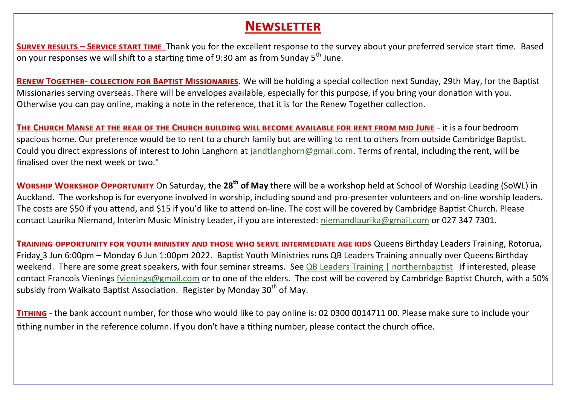# **Newsletter**

**Survey results – Service start time** Thank you for the excellent response to the survey about your preferred service start time. Based on your responses we will shift to a starting time of 9:30 am as from Sunday  $5<sup>th</sup>$  June.

**Renew Together- collection for Baptist Missionaries**. We will be holding a special collection next Sunday, 29th May, for the Baptist Missionaries serving overseas. There will be envelopes available, especially for this purpose, if you bring your donation with you. Otherwise you can pay online, making a note in the reference, that it is for the Renew Together collection.

**The Church Manse at the rear of the Church building will become available for rent from mid June** - it is a four bedroom spacious home. Our preference would be to rent to a church family but are willing to rent to others from outside Cambridge Baptist. Could you direct expressions of interest to John Langhorn at [jandtlanghorn@gmail.com.](mailto:jandtlanghorn@gmail.com) Terms of rental, including the rent, will be finalised over the next week or two."

**Worship Workshop Opportunity** On Saturday, the **28th of May** there will be a workshop held at School of Worship Leading (SoWL) in Auckland. The workshop is for everyone involved in worship, including sound and pro-presenter volunteers and on-line worship leaders. The costs are \$50 if you attend, and \$15 if you'd like to attend on-line. The cost will be covered by Cambridge Baptist Church. Please contact Laurika Niemand, Interim Music Ministry Leader, if you are interested: [niemandlaurika@gmail.com](mailto:niemandlaurika@gmail.com) or 027 347 7301.

**Training opportunity for youth ministry and those who serve intermediate age kids** Queens Birthday Leaders Training, Rotorua, Friday 3 Jun 6:00pm – Monday 6 Jun 1:00pm 2022. Baptist Youth Ministries runs QB Leaders Training annually over Queens Birthday weekend. There are some great speakers, with four seminar streams. See [QB Leaders Training | northernbaptist](https://www.northernbaptist.org.nz/qbleaderstraining) If interested, please contact Francois Vienings [fvienings@gmail.com](mailto:fvienings@gmail.com) or to one of the elders. The cost will be covered by Cambridge Baptist Church, with a 50% subsidy from Waikato Baptist Association. Register by Monday 30<sup>th</sup> of May.

**Tithing** - the bank account number, for those who would like to pay online is: 02 0300 0014711 00. Please make sure to include your tithing number in the reference column. If you don't have a tithing number, please contact the church office.